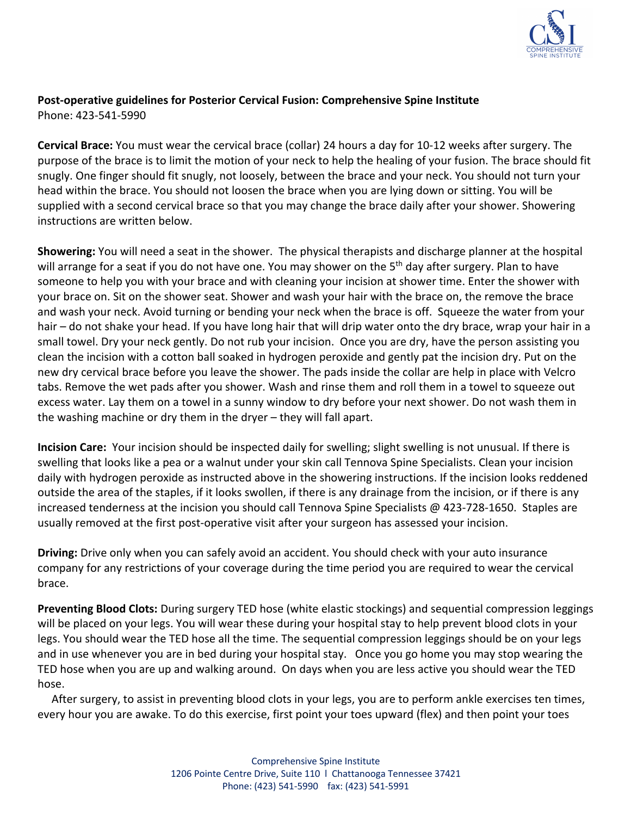

## **Post-operative guidelines for Posterior Cervical Fusion: Comprehensive Spine Institute** Phone: 423-541-5990

**Cervical Brace:** You must wear the cervical brace (collar) 24 hours a day for 10-12 weeks after surgery. The purpose of the brace is to limit the motion of your neck to help the healing of your fusion. The brace should fit snugly. One finger should fit snugly, not loosely, between the brace and your neck. You should not turn your head within the brace. You should not loosen the brace when you are lying down or sitting. You will be supplied with a second cervical brace so that you may change the brace daily after your shower. Showering instructions are written below.

**Showering:** You will need a seat in the shower. The physical therapists and discharge planner at the hospital will arrange for a seat if you do not have one. You may shower on the 5<sup>th</sup> day after surgery. Plan to have someone to help you with your brace and with cleaning your incision at shower time. Enter the shower with your brace on. Sit on the shower seat. Shower and wash your hair with the brace on, the remove the brace and wash your neck. Avoid turning or bending your neck when the brace is off. Squeeze the water from your hair – do not shake your head. If you have long hair that will drip water onto the dry brace, wrap your hair in a small towel. Dry your neck gently. Do not rub your incision. Once you are dry, have the person assisting you clean the incision with a cotton ball soaked in hydrogen peroxide and gently pat the incision dry. Put on the new dry cervical brace before you leave the shower. The pads inside the collar are help in place with Velcro tabs. Remove the wet pads after you shower. Wash and rinse them and roll them in a towel to squeeze out excess water. Lay them on a towel in a sunny window to dry before your next shower. Do not wash them in the washing machine or dry them in the dryer – they will fall apart.

**Incision Care:** Your incision should be inspected daily for swelling; slight swelling is not unusual. If there is swelling that looks like a pea or a walnut under your skin call Tennova Spine Specialists. Clean your incision daily with hydrogen peroxide as instructed above in the showering instructions. If the incision looks reddened outside the area of the staples, if it looks swollen, if there is any drainage from the incision, or if there is any increased tenderness at the incision you should call Tennova Spine Specialists @ 423-728-1650. Staples are usually removed at the first post-operative visit after your surgeon has assessed your incision.

**Driving:** Drive only when you can safely avoid an accident. You should check with your auto insurance company for any restrictions of your coverage during the time period you are required to wear the cervical brace.

**Preventing Blood Clots:** During surgery TED hose (white elastic stockings) and sequential compression leggings will be placed on your legs. You will wear these during your hospital stay to help prevent blood clots in your legs. You should wear the TED hose all the time. The sequential compression leggings should be on your legs and in use whenever you are in bed during your hospital stay. Once you go home you may stop wearing the TED hose when you are up and walking around. On days when you are less active you should wear the TED hose.

 After surgery, to assist in preventing blood clots in your legs, you are to perform ankle exercises ten times, every hour you are awake. To do this exercise, first point your toes upward (flex) and then point your toes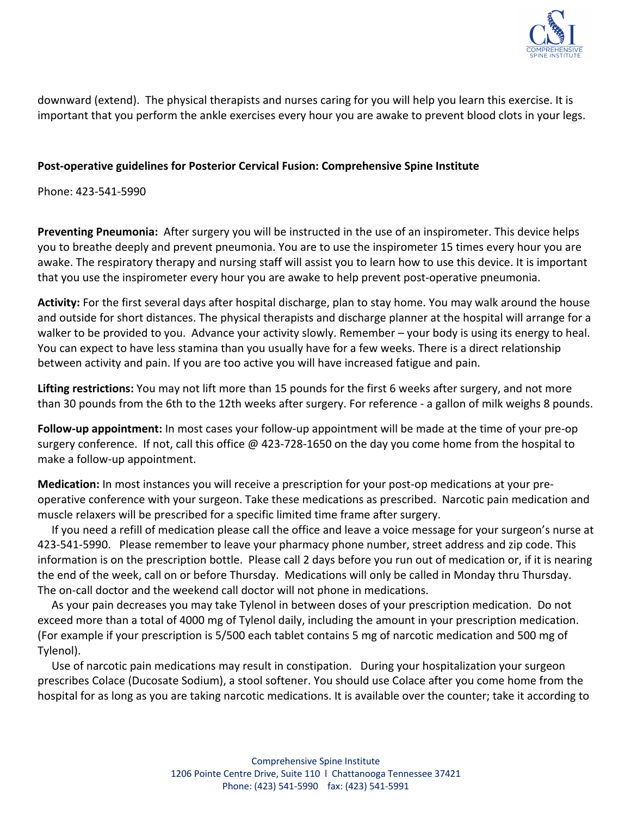

downward (extend). The physical therapists and nurses caring for you will help you learn this exercise. It is important that you perform the ankle exercises every hour you are awake to prevent blood clots in your legs.

#### **Post-operative guidelines for Posterior Cervical Fusion: Comprehensive Spine Institute**

Phone: 423-541-5990

**Preventing Pneumonia:** After surgery you will be instructed in the use of an inspirometer. This device helps you to breathe deeply and prevent pneumonia. You are to use the inspirometer 15 times every hour you are awake. The respiratory therapy and nursing staff will assist you to learn how to use this device. It is important that you use the inspirometer every hour you are awake to help prevent post-operative pneumonia.

**Activity:** For the first several days after hospital discharge, plan to stay home. You may walk around the house and outside for short distances. The physical therapists and discharge planner at the hospital will arrange for a walker to be provided to you. Advance your activity slowly. Remember – your body is using its energy to heal. You can expect to have less stamina than you usually have for a few weeks. There is a direct relationship between activity and pain. If you are too active you will have increased fatigue and pain.

**Lifting restrictions:** You may not lift more than 15 pounds for the first 6 weeks after surgery, and not more than 30 pounds from the 6th to the 12th weeks after surgery. For reference - a gallon of milk weighs 8 pounds.

**Follow-up appointment:** In most cases your follow-up appointment will be made at the time of your pre-op surgery conference. If not, call this office @ 423-728-1650 on the day you come home from the hospital to make a follow-up appointment.

**Medication:** In most instances you will receive a prescription for your post-op medications at your preoperative conference with your surgeon. Take these medications as prescribed. Narcotic pain medication and muscle relaxers will be prescribed for a specific limited time frame after surgery.

 If you need a refill of medication please call the office and leave a voice message for your surgeon's nurse at 423-541-5990. Please remember to leave your pharmacy phone number, street address and zip code. This information is on the prescription bottle. Please call 2 days before you run out of medication or, if it is nearing the end of the week, call on or before Thursday. Medications will only be called in Monday thru Thursday. The on-call doctor and the weekend call doctor will not phone in medications.

 As your pain decreases you may take Tylenol in between doses of your prescription medication. Do not exceed more than a total of 4000 mg of Tylenol daily, including the amount in your prescription medication. (For example if your prescription is 5/500 each tablet contains 5 mg of narcotic medication and 500 mg of Tylenol).

 Use of narcotic pain medications may result in constipation. During your hospitalization your surgeon prescribes Colace (Ducosate Sodium), a stool softener. You should use Colace after you come home from the hospital for as long as you are taking narcotic medications. It is available over the counter; take it according to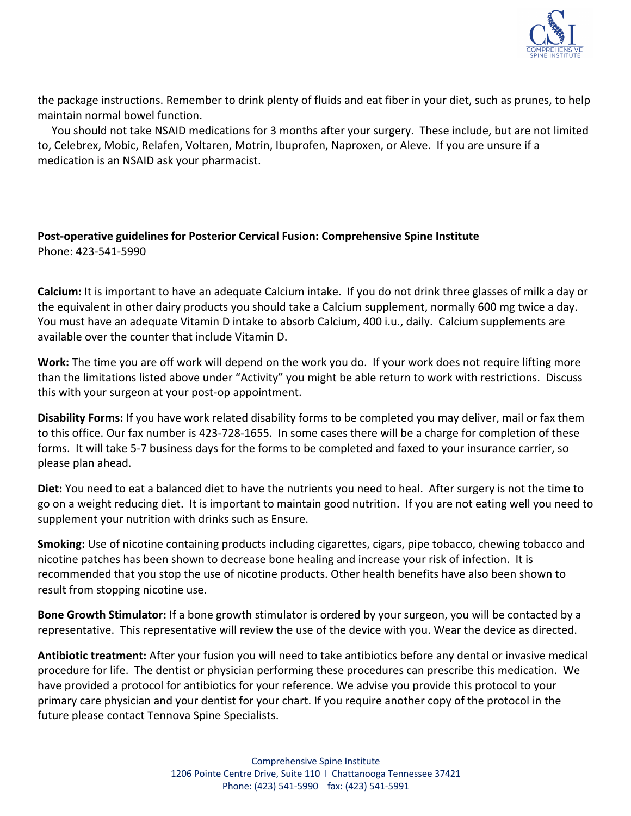

the package instructions. Remember to drink plenty of fluids and eat fiber in your diet, such as prunes, to help maintain normal bowel function.

 You should not take NSAID medications for 3 months after your surgery. These include, but are not limited to, Celebrex, Mobic, Relafen, Voltaren, Motrin, Ibuprofen, Naproxen, or Aleve. If you are unsure if a medication is an NSAID ask your pharmacist.

## **Post-operative guidelines for Posterior Cervical Fusion: Comprehensive Spine Institute** Phone: 423-541-5990

**Calcium:** It is important to have an adequate Calcium intake. If you do not drink three glasses of milk a day or the equivalent in other dairy products you should take a Calcium supplement, normally 600 mg twice a day. You must have an adequate Vitamin D intake to absorb Calcium, 400 i.u., daily. Calcium supplements are available over the counter that include Vitamin D.

**Work:** The time you are off work will depend on the work you do. If your work does not require lifting more than the limitations listed above under "Activity" you might be able return to work with restrictions. Discuss this with your surgeon at your post-op appointment.

**Disability Forms:** If you have work related disability forms to be completed you may deliver, mail or fax them to this office. Our fax number is 423-728-1655. In some cases there will be a charge for completion of these forms. It will take 5-7 business days for the forms to be completed and faxed to your insurance carrier, so please plan ahead.

**Diet:** You need to eat a balanced diet to have the nutrients you need to heal. After surgery is not the time to go on a weight reducing diet. It is important to maintain good nutrition. If you are not eating well you need to supplement your nutrition with drinks such as Ensure.

**Smoking:** Use of nicotine containing products including cigarettes, cigars, pipe tobacco, chewing tobacco and nicotine patches has been shown to decrease bone healing and increase your risk of infection. It is recommended that you stop the use of nicotine products. Other health benefits have also been shown to result from stopping nicotine use.

**Bone Growth Stimulator:** If a bone growth stimulator is ordered by your surgeon, you will be contacted by a representative. This representative will review the use of the device with you. Wear the device as directed.

**Antibiotic treatment:** After your fusion you will need to take antibiotics before any dental or invasive medical procedure for life. The dentist or physician performing these procedures can prescribe this medication. We have provided a protocol for antibiotics for your reference. We advise you provide this protocol to your primary care physician and your dentist for your chart. If you require another copy of the protocol in the future please contact Tennova Spine Specialists.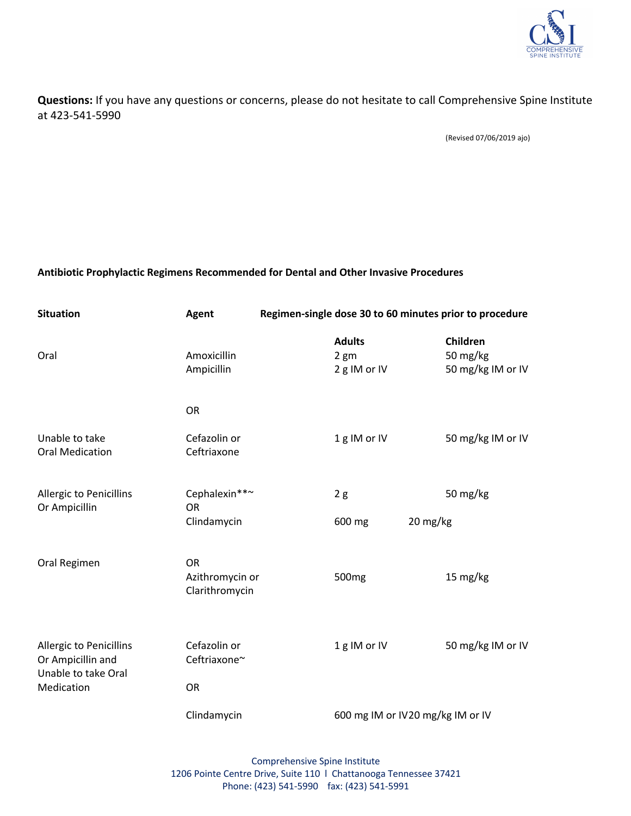

### **Questions:** If you have any questions or concerns, please do not hesitate to call Comprehensive Spine Institute at 423-541-5990

(Revised 07/06/2019 ajo)

#### **Antibiotic Prophylactic Regimens Recommended for Dental and Other Invasive Procedures**

| <b>Situation</b>                                                                         | Agent                                          | Regimen-single dose 30 to 60 minutes prior to procedure |                                                  |          |                                           |
|------------------------------------------------------------------------------------------|------------------------------------------------|---------------------------------------------------------|--------------------------------------------------|----------|-------------------------------------------|
| Oral                                                                                     | Amoxicillin<br>Ampicillin                      |                                                         | <b>Adults</b><br>2 <sub>gm</sub><br>2 g IM or IV |          | Children<br>50 mg/kg<br>50 mg/kg IM or IV |
|                                                                                          | OR                                             |                                                         |                                                  |          |                                           |
| Unable to take<br><b>Oral Medication</b>                                                 | Cefazolin or<br>Ceftriaxone                    |                                                         | 1g IM or IV                                      |          | 50 mg/kg IM or IV                         |
| Allergic to Penicillins<br>Or Ampicillin                                                 | Cephalexin**~<br><b>OR</b>                     |                                                         | 2g                                               |          | 50 mg/kg                                  |
|                                                                                          | Clindamycin                                    |                                                         | 600 mg                                           | 20 mg/kg |                                           |
| Oral Regimen                                                                             | <b>OR</b><br>Azithromycin or<br>Clarithromycin |                                                         | 500 <sub>mg</sub>                                |          | 15 mg/kg                                  |
| <b>Allergic to Penicillins</b><br>Or Ampicillin and<br>Unable to take Oral<br>Medication | Cefazolin or<br>Ceftriaxone~                   |                                                         | 1g IM or IV                                      |          | 50 mg/kg IM or IV                         |
|                                                                                          | <b>OR</b>                                      |                                                         |                                                  |          |                                           |
|                                                                                          | Clindamycin                                    |                                                         | 600 mg IM or IV20 mg/kg IM or IV                 |          |                                           |

Comprehensive Spine Institute 1206 Pointe Centre Drive, Suite 110 l Chattanooga Tennessee 37421 Phone: (423) 541-5990 fax: (423) 541-5991